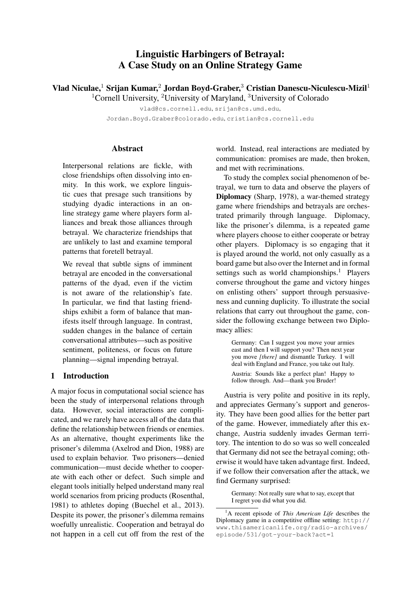# Linguistic Harbingers of Betrayal: A Case Study on an Online Strategy Game

Vlad Niculae,<sup>1</sup> Srijan Kumar,<sup>2</sup> Jordan Boyd-Graber,<sup>3</sup> Cristian Danescu-Niculescu-Mizil<sup>1</sup>

<sup>1</sup>Cornell University, <sup>2</sup>University of Maryland, <sup>3</sup>University of Colorado

vlad@cs.cornell.edu, srijan@cs.umd.edu,

Jordan.Boyd.Graber@colorado.edu, cristian@cs.cornell.edu

# **Abstract**

Interpersonal relations are fickle, with close friendships often dissolving into enmity. In this work, we explore linguistic cues that presage such transitions by studying dyadic interactions in an online strategy game where players form alliances and break those alliances through betrayal. We characterize friendships that are unlikely to last and examine temporal patterns that foretell betrayal.

We reveal that subtle signs of imminent betrayal are encoded in the conversational patterns of the dyad, even if the victim is not aware of the relationship's fate. In particular, we find that lasting friendships exhibit a form of balance that manifests itself through language. In contrast, sudden changes in the balance of certain conversational attributes—such as positive sentiment, politeness, or focus on future planning—signal impending betrayal.

# 1 Introduction

A major focus in computational social science has been the study of interpersonal relations through data. However, social interactions are complicated, and we rarely have access all of the data that define the relationship between friends or enemies. As an alternative, thought experiments like the prisoner's dilemma (Axelrod and Dion, 1988) are used to explain behavior. Two prisoners—denied communication—must decide whether to cooperate with each other or defect. Such simple and elegant tools initially helped understand many real world scenarios from pricing products (Rosenthal, 1981) to athletes doping (Buechel et al., 2013). Despite its power, the prisoner's dilemma remains woefully unrealistic. Cooperation and betrayal do not happen in a cell cut off from the rest of the

world. Instead, real interactions are mediated by communication: promises are made, then broken, and met with recriminations.

To study the complex social phenomenon of betrayal, we turn to data and observe the players of Diplomacy (Sharp, 1978), a war-themed strategy game where friendships and betrayals are orchestrated primarily through language. Diplomacy, like the prisoner's dilemma, is a repeated game where players choose to either cooperate or betray other players. Diplomacy is so engaging that it is played around the world, not only casually as a board game but also over the Internet and in formal settings such as world championships.<sup>1</sup> Players converse throughout the game and victory hinges on enlisting others' support through persuasiveness and cunning duplicity. To illustrate the social relations that carry out throughout the game, consider the following exchange between two Diplomacy allies:

Germany: Can I suggest you move your armies east and then I will support you? Then next year you move *[there]* and dismantle Turkey. I will deal with England and France, you take out Italy. Austria: Sounds like a perfect plan! Happy to follow through. And—thank you Bruder!

Austria is very polite and positive in its reply, and appreciates Germany's support and generosity. They have been good allies for the better part of the game. However, immediately after this exchange, Austria suddenly invades German territory. The intention to do so was so well concealed that Germany did not see the betrayal coming; otherwise it would have taken advantage first. Indeed, if we follow their conversation after the attack, we find Germany surprised:

Germany: Not really sure what to say, except that I regret you did what you did.

<sup>1</sup>A recent episode of *This American Life* describes the Diplomacy game in a competitive offline setting: http:// www.thisamericanlife.org/radio-archives/ episode/531/got-your-back?act=1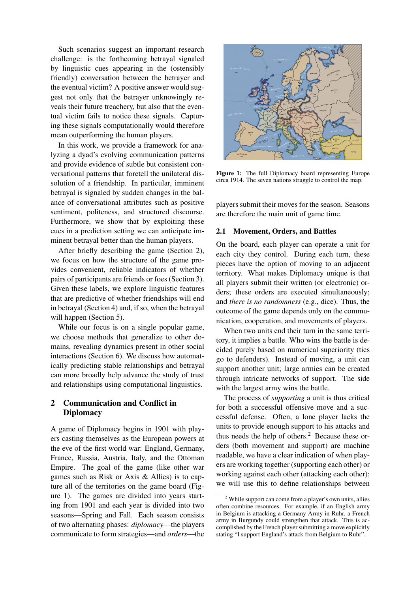Such scenarios suggest an important research challenge: is the forthcoming betrayal signaled by linguistic cues appearing in the (ostensibly friendly) conversation between the betrayer and the eventual victim? A positive answer would suggest not only that the betrayer unknowingly reveals their future treachery, but also that the eventual victim fails to notice these signals. Capturing these signals computationally would therefore mean outperforming the human players.

In this work, we provide a framework for analyzing a dyad's evolving communication patterns and provide evidence of subtle but consistent conversational patterns that foretell the unilateral dissolution of a friendship. In particular, imminent betrayal is signaled by sudden changes in the balance of conversational attributes such as positive sentiment, politeness, and structured discourse. Furthermore, we show that by exploiting these cues in a prediction setting we can anticipate imminent betrayal better than the human players.

After briefly describing the game (Section 2), we focus on how the structure of the game provides convenient, reliable indicators of whether pairs of participants are friends or foes (Section 3). Given these labels, we explore linguistic features that are predictive of whether friendships will end in betrayal (Section 4) and, if so, when the betrayal will happen (Section 5).

While our focus is on a single popular game, we choose methods that generalize to other domains, revealing dynamics present in other social interactions (Section 6). We discuss how automatically predicting stable relationships and betrayal can more broadly help advance the study of trust and relationships using computational linguistics.

# 2 Communication and Conflict in **Diplomacy**

A game of Diplomacy begins in 1901 with players casting themselves as the European powers at the eve of the first world war: England, Germany, France, Russia, Austria, Italy, and the Ottoman Empire. The goal of the game (like other war games such as Risk or Axis & Allies) is to capture all of the territories on the game board (Figure 1). The games are divided into years starting from 1901 and each year is divided into two seasons—Spring and Fall. Each season consists of two alternating phases: *diplomacy*—the players communicate to form strategies—and *orders*—the



Figure 1: The full Diplomacy board representing Europe circa 1914. The seven nations struggle to control the map.

players submit their moves for the season. Seasons are therefore the main unit of game time.

### 2.1 Movement, Orders, and Battles

On the board, each player can operate a unit for each city they control. During each turn, these pieces have the option of moving to an adjacent territory. What makes Diplomacy unique is that all players submit their written (or electronic) orders; these orders are executed simultaneously; and *there is no randomness* (e.g., dice). Thus, the outcome of the game depends only on the communication, cooperation, and movements of players.

When two units end their turn in the same territory, it implies a battle. Who wins the battle is decided purely based on numerical superiority (ties go to defenders). Instead of moving, a unit can support another unit; large armies can be created through intricate networks of support. The side with the largest army wins the battle.

The process of *supporting* a unit is thus critical for both a successful offensive move and a successful defense. Often, a lone player lacks the units to provide enough support to his attacks and thus needs the help of others. $<sup>2</sup>$  Because these or-</sup> ders (both movement and support) are machine readable, we have a clear indication of when players are working together (supporting each other) or working against each other (attacking each other); we will use this to define relationships between

<sup>2</sup> While support can come from a player's own units, allies often combine resources. For example, if an English army in Belgium is attacking a Germany Army in Ruhr, a French army in Burgundy could strengthen that attack. This is accomplished by the French player submitting a move explicitly stating "I support England's attack from Belgium to Ruhr".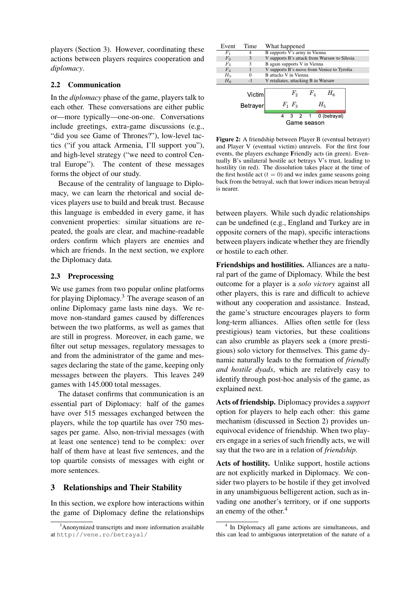players (Section 3). However, coordinating these actions between players requires cooperation and *diplomacy*.

### 2.2 Communication

In the *diplomacy* phase of the game, players talk to each other. These conversations are either public or—more typically—one-on-one. Conversations include greetings, extra-game discussions (e.g., "did you see Game of Thrones?"), low-level tactics ("if you attack Armenia, I'll support you"), and high-level strategy ("we need to control Central Europe"). The content of these messages forms the object of our study.

Because of the centrality of language to Diplomacy, we can learn the rhetorical and social devices players use to build and break trust. Because this language is embedded in every game, it has convenient properties: similar situations are repeated, the goals are clear, and machine-readable orders confirm which players are enemies and which are friends. In the next section, we explore the Diplomacy data.

# 2.3 Preprocessing

We use games from two popular online platforms for playing Diplomacy.<sup>3</sup> The average season of an online Diplomacy game lasts nine days. We remove non-standard games caused by differences between the two platforms, as well as games that are still in progress. Moreover, in each game, we filter out setup messages, regulatory messages to and from the administrator of the game and messages declaring the state of the game, keeping only messages between the players. This leaves 249 games with 145.000 total messages.

The dataset confirms that communication is an essential part of Diplomacy: half of the games have over 515 messages exchanged between the players, while the top quartile has over 750 messages per game. Also, non-trivial messages (with at least one sentence) tend to be complex: over half of them have at least five sentences, and the top quartile consists of messages with eight or more sentences.

# 3 Relationships and Their Stability

In this section, we explore how interactions within the game of Diplomacy define the relationships

| Event          | Time     | What happened                                |  |  |  |
|----------------|----------|----------------------------------------------|--|--|--|
| $F_{1}$        |          | B supports V's army in Vienna                |  |  |  |
| F <sub>2</sub> | 3        | V supports B's attack from Warsaw to Silesia |  |  |  |
| $F_3$          | 3        | B again supports V in Vienna                 |  |  |  |
| $F_4$          |          | V supports B's move from Venice to Tyrolia   |  |  |  |
| $H_5$          |          | <b>B</b> attacks V in Vienna                 |  |  |  |
| $H_6$          | $-1$     | V retaliates, attacking B in Warsaw          |  |  |  |
|                | Victim   | F <sub>2</sub><br>$H_{\kappa}$<br>$F_{A}$    |  |  |  |
|                |          |                                              |  |  |  |
|                | Betrayer | $H_{\kappa}$<br>$F_1$ $F_3$                  |  |  |  |
|                |          | 0 (betrayal)<br>3 2 1<br>4                   |  |  |  |
|                |          | Game season                                  |  |  |  |
|                |          |                                              |  |  |  |

Figure 2: A friendship between Player B (eventual betrayer) and Player V (eventual victim) unravels. For the first four events, the players exchange Friendly acts (in green). Eventually B's unilateral hostile act betrays V's trust, leading to hostility (in red). The dissolution takes place at the time of the first hostile act  $(t = 0)$  and we index game seasons going back from the betrayal, such that lower indices mean betrayal is nearer.

between players. While such dyadic relationships can be undefined (e.g., England and Turkey are in opposite corners of the map), specific interactions between players indicate whether they are friendly or hostile to each other.

Friendships and hostilities. Alliances are a natural part of the game of Diplomacy. While the best outcome for a player is a *solo victory* against all other players, this is rare and difficult to achieve without any cooperation and assistance. Instead, the game's structure encourages players to form long-term alliances. Allies often settle for (less prestigious) team victories, but these coalitions can also crumble as players seek a (more prestigious) solo victory for themselves. This game dynamic naturally leads to the formation of *friendly and hostile dyads*, which are relatively easy to identify through post-hoc analysis of the game, as explained next.

Acts of friendship. Diplomacy provides a *support* option for players to help each other: this game mechanism (discussed in Section 2) provides unequivocal evidence of friendship. When two players engage in a series of such friendly acts, we will say that the two are in a relation of *friendship*.

Acts of hostility. Unlike support, hostile actions are not explicitly marked in Diplomacy. We consider two players to be hostile if they get involved in any unambiguous belligerent action, such as invading one another's territory, or if one supports an enemy of the other.<sup>4</sup>

 $3$ Anonymized transcripts and more information available at http://vene.ro/betrayal/

<sup>4</sup> In Diplomacy all game actions are simultaneous, and this can lead to ambiguous interpretation of the nature of a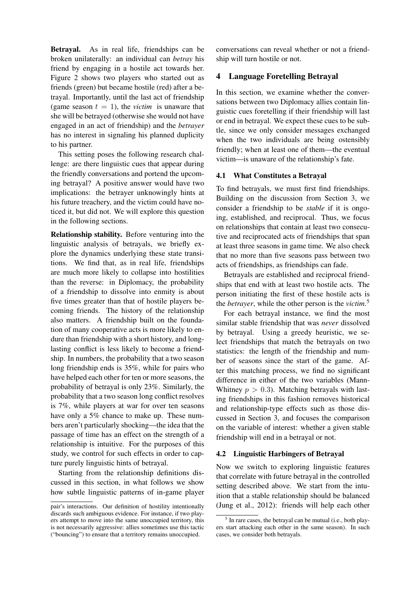Betrayal. As in real life, friendships can be broken unilaterally: an individual can *betray* his friend by engaging in a hostile act towards her. Figure 2 shows two players who started out as friends (green) but became hostile (red) after a betrayal. Importantly, until the last act of friendship (game season  $t = 1$ ), the *victim* is unaware that she will be betrayed (otherwise she would not have engaged in an act of friendship) and the *betrayer* has no interest in signaling his planned duplicity to his partner.

This setting poses the following research challenge: are there linguistic cues that appear during the friendly conversations and portend the upcoming betrayal? A positive answer would have two implications: the betrayer unknowingly hints at his future treachery, and the victim could have noticed it, but did not. We will explore this question in the following sections.

Relationship stability. Before venturing into the linguistic analysis of betrayals, we briefly explore the dynamics underlying these state transitions. We find that, as in real life, friendships are much more likely to collapse into hostilities than the reverse: in Diplomacy, the probability of a friendship to dissolve into enmity is about five times greater than that of hostile players becoming friends. The history of the relationship also matters. A friendship built on the foundation of many cooperative acts is more likely to endure than friendship with a short history, and longlasting conflict is less likely to become a friendship. In numbers, the probability that a two season long friendship ends is 35%, while for pairs who have helped each other for ten or more seasons, the probability of betrayal is only 23%. Similarly, the probability that a two season long conflict resolves is 7%, while players at war for over ten seasons have only a 5% chance to make up. These numbers aren't particularly shocking—the idea that the passage of time has an effect on the strength of a relationship is intuitive. For the purposes of this study, we control for such effects in order to capture purely linguistic hints of betrayal.

Starting from the relationship definitions discussed in this section, in what follows we show how subtle linguistic patterns of in-game player

conversations can reveal whether or not a friendship will turn hostile or not.

## 4 Language Foretelling Betrayal

In this section, we examine whether the conversations between two Diplomacy allies contain linguistic cues foretelling if their friendship will last or end in betrayal. We expect these cues to be subtle, since we only consider messages exchanged when the two individuals are being ostensibly friendly; when at least one of them—the eventual victim—is unaware of the relationship's fate.

#### 4.1 What Constitutes a Betrayal

To find betrayals, we must first find friendships. Building on the discussion from Section 3, we consider a friendship to be *stable* if it is ongoing, established, and reciprocal. Thus, we focus on relationships that contain at least two consecutive and reciprocated acts of friendships that span at least three seasons in game time. We also check that no more than five seasons pass between two acts of friendships, as friendships can fade.

Betrayals are established and reciprocal friendships that end with at least two hostile acts. The person initiating the first of these hostile acts is the *betrayer*, while the other person is the *victim*. 5

For each betrayal instance, we find the most similar stable friendship that was *never* dissolved by betrayal. Using a greedy heuristic, we select friendships that match the betrayals on two statistics: the length of the friendship and number of seasons since the start of the game. After this matching process, we find no significant difference in either of the two variables (Mann-Whitney  $p > 0.3$ ). Matching betrayals with lasting friendships in this fashion removes historical and relationship-type effects such as those discussed in Section 3, and focuses the comparison on the variable of interest: whether a given stable friendship will end in a betrayal or not.

#### 4.2 Linguistic Harbingers of Betrayal

Now we switch to exploring linguistic features that correlate with future betrayal in the controlled setting described above. We start from the intuition that a stable relationship should be balanced (Jung et al., 2012): friends will help each other

pair's interactions. Our definition of hostility intentionally discards such ambiguous evidence. For instance, if two players attempt to move into the same unoccupied territory, this is not necessarily aggressive: allies sometimes use this tactic ("bouncing") to ensure that a territory remains unoccupied.

<sup>&</sup>lt;sup>5</sup> In rare cases, the betrayal can be mutual (i.e., both players start attacking each other in the same season). In such cases, we consider both betrayals.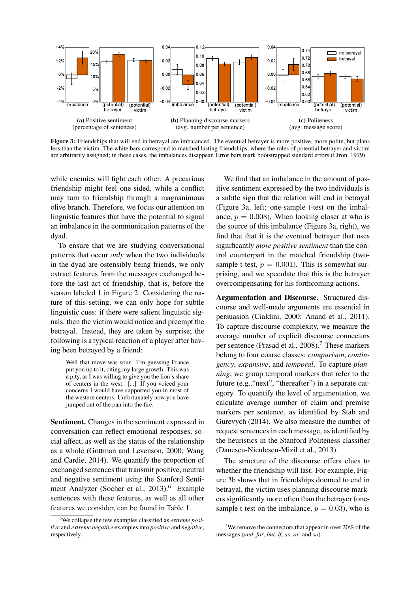

Figure 3: Friendships that will end in betrayal are imbalanced. The eventual betrayer is more positive, more polite, but plans less than the victim. The white bars correspond to matched lasting friendships, where the roles of potential betrayer and victim are arbitrarily assigned; in these cases, the imbalances disappear. Error bars mark bootstrapped standard errors (Efron, 1979).

while enemies will fight each other. A precarious friendship might feel one-sided, while a conflict may turn to friendship through a magnanimous olive branch. Therefore, we focus our attention on linguistic features that have the potential to signal an imbalance in the communication patterns of the dyad.

To ensure that we are studying conversational patterns that occur *only* when the two individuals in the dyad are ostensibly being friends, we only extract features from the messages exchanged before the last act of friendship, that is, before the season labeled 1 in Figure 2. Considering the nature of this setting, we can only hope for subtle linguistic cues: if there were salient linguistic signals, then the victim would notice and preempt the betrayal. Instead, they are taken by surprise; the following is a typical reaction of a player after having been betrayed by a friend:

Well that move was sour. I'm guessing France put you up to it, citing my large growth. This was a pity, as I was willing to give you the lion's share of centers in the west. [...] If you voiced your concerns I would have supported you in most of the western centers. Unfortunately now you have jumped out of the pan into the fire.

Sentiment. Changes in the sentiment expressed in conversation can reflect emotional responses, social affect, as well as the status of the relationship as a whole (Gottman and Levenson, 2000; Wang and Cardie, 2014). We quantify the proportion of exchanged sentences that transmit positive, neutral and negative sentiment using the Stanford Sentiment Analyzer (Socher et al., 2013).<sup>6</sup> Example sentences with these features, as well as all other features we consider, can be found in Table 1.

We find that an imbalance in the amount of positive sentiment expressed by the two individuals is a subtle sign that the relation will end in betrayal (Figure 3a, left; one-sample t-test on the imbalance,  $p = 0.008$ ). When looking closer at who is the source of this imbalance (Figure 3a, right), we find that that it is the eventual betrayer that uses significantly *more positive sentiment* than the control counterpart in the matched friendship (twosample t-test,  $p = 0.001$ ). This is somewhat surprising, and we speculate that this is the betrayer overcompensating for his forthcoming actions.

Argumentation and Discourse. Structured discourse and well-made arguments are essential in persuasion (Cialdini, 2000; Anand et al., 2011). To capture discourse complexity, we measure the average number of explicit discourse connectors per sentence (Prasad et al.,  $2008$ ).<sup>7</sup> These markers belong to four coarse classes: *comparison*, *contingency*, *expansive*, and *temporal*. To capture *planning*, we group temporal markers that refer to the future (e.g.,"next", "thereafter") in a separate category. To quantify the level of argumentation, we calculate average number of claim and premise markers per sentence, as identified by Stab and Gurevych (2014). We also measure the number of request sentences in each message, as identified by the heuristics in the Stanford Politeness classifier (Danescu-Niculescu-Mizil et al., 2013).

The structure of the discourse offers clues to whether the friendship will last. For example, Figure 3b shows that in friendships doomed to end in betrayal, the victim uses planning discourse markers significantly more often than the betrayer (onesample t-test on the imbalance,  $p = 0.03$ ), who is

<sup>6</sup>We collapse the few examples classified as *extreme positive* and *extreme negative* examples into *positive* and *negative*, respectively.

<sup>&</sup>lt;sup>7</sup>We remove the connectors that appear in over 20% of the messages (*and*, *for*, *but*, *if*, *as*, *or*, and *so*).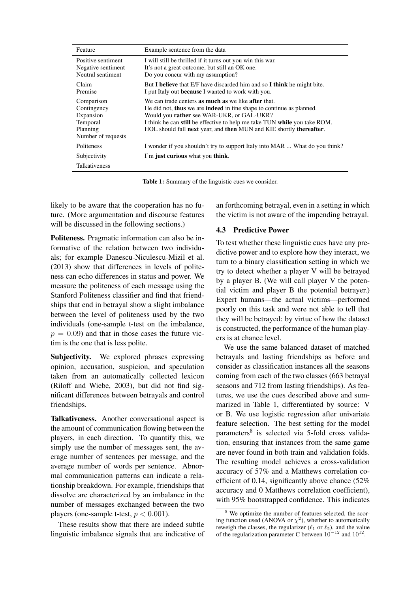| Feature                                                                              | Example sentence from the data                                                                                                                                                                                                                                                                                                             |
|--------------------------------------------------------------------------------------|--------------------------------------------------------------------------------------------------------------------------------------------------------------------------------------------------------------------------------------------------------------------------------------------------------------------------------------------|
| Positive sentiment<br>Negative sentiment<br>Neutral sentiment                        | I will still be thrilled if it turns out you win this war.<br>It's not a great outcome, but still an OK one.<br>Do you concur with my assumption?                                                                                                                                                                                          |
| Claim<br>Premise                                                                     | But I believe that E/F have discarded him and so I think he might bite.<br>I put Italy out <b>because</b> I wanted to work with you.                                                                                                                                                                                                       |
| Comparison<br>Contingency<br>Expansion<br>Temporal<br>Planning<br>Number of requests | We can trade centers <b>as much as</b> we like <b>after</b> that.<br>He did not, thus we are indeed in fine shape to continue as planned.<br>Would you rather see WAR-UKR, or GAL-UKR?<br>I think he can still be effective to help me take TUN while you take ROM.<br>HOL should fall next year, and then MUN and KIE shortly thereafter. |
| <b>Politeness</b>                                                                    | I wonder if you shouldn't try to support Italy into MAR  What do you think?                                                                                                                                                                                                                                                                |
| Subjectivity                                                                         | I'm just curious what you think.                                                                                                                                                                                                                                                                                                           |
| <b>Talkativeness</b>                                                                 |                                                                                                                                                                                                                                                                                                                                            |

Table 1: Summary of the linguistic cues we consider.

likely to be aware that the cooperation has no future. (More argumentation and discourse features will be discussed in the following sections.)

Politeness. Pragmatic information can also be informative of the relation between two individuals; for example Danescu-Niculescu-Mizil et al. (2013) show that differences in levels of politeness can echo differences in status and power. We measure the politeness of each message using the Stanford Politeness classifier and find that friendships that end in betrayal show a slight imbalance between the level of politeness used by the two individuals (one-sample t-test on the imbalance,  $p = 0.09$ ) and that in those cases the future victim is the one that is less polite.

Subjectivity. We explored phrases expressing opinion, accusation, suspicion, and speculation taken from an automatically collected lexicon (Riloff and Wiebe, 2003), but did not find significant differences between betrayals and control friendships.

Talkativeness. Another conversational aspect is the amount of communication flowing between the players, in each direction. To quantify this, we simply use the number of messages sent, the average number of sentences per message, and the average number of words per sentence. Abnormal communication patterns can indicate a relationship breakdown. For example, friendships that dissolve are characterized by an imbalance in the number of messages exchanged between the two players (one-sample t-test,  $p < 0.001$ ).

These results show that there are indeed subtle linguistic imbalance signals that are indicative of an forthcoming betrayal, even in a setting in which the victim is not aware of the impending betrayal.

## 4.3 Predictive Power

To test whether these linguistic cues have any predictive power and to explore how they interact, we turn to a binary classification setting in which we try to detect whether a player V will be betrayed by a player B. (We will call player V the potential victim and player B the potential betrayer.) Expert humans—the actual victims—performed poorly on this task and were not able to tell that they will be betrayed: by virtue of how the dataset is constructed, the performance of the human players is at chance level.

We use the same balanced dataset of matched betrayals and lasting friendships as before and consider as classification instances all the seasons coming from each of the two classes (663 betrayal seasons and 712 from lasting friendships). As features, we use the cues described above and summarized in Table 1, differentiated by source: V or B. We use logistic regression after univariate feature selection. The best setting for the model parameters<sup>8</sup> is selected via 5-fold cross validation, ensuring that instances from the same game are never found in both train and validation folds. The resulting model achieves a cross-validation accuracy of 57% and a Matthews correlation coefficient of 0.14, significantly above chance (52% accuracy and 0 Matthews correlation coefficient), with 95% bootstrapped confidence. This indicates

We optimize the number of features selected, the scoring function used (ANOVA or  $\chi^2$ ), whether to automatically reweigh the classes, the regularizer ( $\ell_1$  or  $\ell_2$ ), and the value of the regularization parameter C between  $10^{-12}$  and  $10^{12}$ .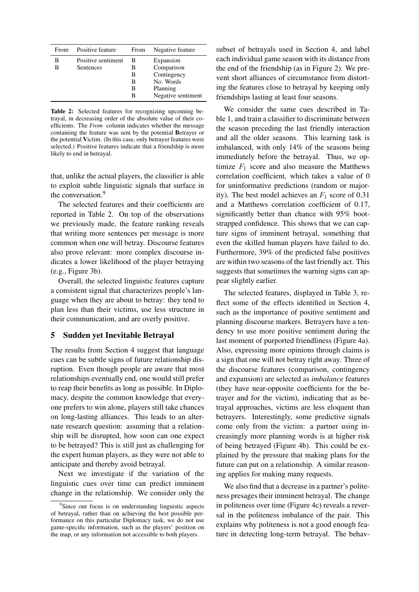| From   | Positive feature                       | From                       | Negative feature                                                                      |
|--------|----------------------------------------|----------------------------|---------------------------------------------------------------------------------------|
| в<br>в | Positive sentiment<br><b>Sentences</b> | в<br>в<br>в<br>В<br>в<br>в | Expansion<br>Comparison<br>Contingency<br>No. Words<br>Planning<br>Negative sentiment |

Table 2: Selected features for recognizing upcoming betrayal, in decreasing order of the absolute value of their coefficients. The *From* column indicates whether the message containing the feature was sent by the potential Betrayer or the potential Victim. (In this case, only betrayer features were selected.) Positive features indicate that a friendship is more likely to end in betrayal.

that, unlike the actual players, the classifier is able to exploit subtle linguistic signals that surface in the conversation.<sup>9</sup>

The selected features and their coefficients are reported in Table 2. On top of the observations we previously made, the feature ranking reveals that writing more sentences per message is more common when one will betray. Discourse features also prove relevant: more complex discourse indicates a lower likelihood of the player betraying (e.g., Figure 3b).

Overall, the selected linguistic features capture a consistent signal that characterizes people's language when they are about to betray: they tend to plan less than their victims, use less structure in their communication, and are overly positive.

#### 5 Sudden yet Inevitable Betrayal

The results from Section 4 suggest that language cues can be subtle signs of future relationship disruption. Even though people are aware that most relationships eventually end, one would still prefer to reap their benefits as long as possible. In Diplomacy, despite the common knowledge that everyone prefers to win alone, players still take chances on long-lasting alliances. This leads to an alternate research question: assuming that a relationship will be disrupted, how soon can one expect to be betrayed? This is still just as challenging for the expert human players, as they were not able to anticipate and thereby avoid betrayal.

Next we investigate if the variation of the linguistic cues over time can predict imminent change in the relationship. We consider only the subset of betrayals used in Section 4, and label each individual game season with its distance from the end of the friendship (as in Figure 2). We prevent short alliances of circumstance from distorting the features close to betrayal by keeping only friendships lasting at least four seasons.

We consider the same cues described in Table 1, and train a classifier to discriminate between the season preceding the last friendly interaction and all the older seasons. This learning task is imbalanced, with only 14% of the seasons being immediately before the betrayal. Thus, we optimize  $F_1$  score and also measure the Matthews correlation coefficient, which takes a value of 0 for uninformative predictions (random or majority). The best model achieves an  $F_1$  score of 0.31 and a Matthews correlation coefficient of 0.17, significantly better than chance with 95% bootstrapped confidence. This shows that we can capture signs of imminent betrayal, something that even the skilled human players have failed to do. Furthermore, 39% of the predicted false positives are within two seasons of the last friendly act. This suggests that sometimes the warning signs can appear slightly earlier.

The selected features, displayed in Table 3, reflect some of the effects identified in Section 4, such as the importance of positive sentiment and planning discourse markers. Betrayers have a tendency to use more positive sentiment during the last moment of purported friendliness (Figure 4a). Also, expressing more opinions through claims is a sign that one will not betray right away. Three of the discourse features (comparison, contingency and expansion) are selected as *imbalance* features (they have near-opposite coefficients for the betrayer and for the victim), indicating that as betrayal approaches, victims are less eloquent than betrayers. Interestingly, some predictive signals come only from the victim: a partner using increasingly more planning words is at higher risk of being betrayed (Figure 4b). This could be explained by the pressure that making plans for the future can put on a relationship. A similar reasoning applies for making many requests.

We also find that a decrease in a partner's politeness presages their imminent betrayal. The change in politeness over time (Figure 4c) reveals a reversal in the politeness imbalance of the pair. This explains why politeness is not a good enough feature in detecting long-term betrayal. The behav-

<sup>&</sup>lt;sup>9</sup>Since our focus is on understanding linguistic aspects of betrayal, rather than on achieving the best possible performance on this particular Diplomacy task, we do not use game-specific information, such as the players' position on the map, or any information not accessible to both players.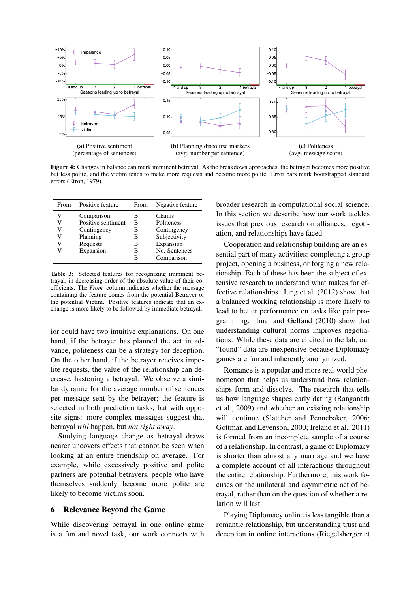

Figure 4: Changes in balance can mark imminent betrayal. As the breakdown approaches, the betrayer becomes more positive but less polite, and the victim tends to make more requests and become more polite. Error bars mark bootstrapped standard errors (Efron, 1979).

| From | Positive feature   | From | Negative feature |
|------|--------------------|------|------------------|
| V    | Comparison         | в    | Claims           |
| V    | Positive sentiment | в    | Politeness       |
| V    | Contingency        | В    | Contingency      |
| V    | Planning           | В    | Subjectivity     |
| V    | Requests           | в    | Expansion        |
|      | Expansion          | в    | No. Sentences    |
|      |                    |      | Comparison       |

Table 3: Selected features for recognizing imminent betrayal, in decreasing order of the absolute value of their coefficients. The *From* column indicates whether the message containing the feature comes from the potential Betrayer or the potential Victim. Positive features indicate that an exchange is more likely to be followed by immediate betrayal.

ior could have two intuitive explanations. On one hand, if the betrayer has planned the act in advance, politeness can be a strategy for deception. On the other hand, if the betrayer receives impolite requests, the value of the relationship can decrease, hastening a betrayal. We observe a similar dynamic for the average number of sentences per message sent by the betrayer; the feature is selected in both prediction tasks, but with opposite signs: more complex messages suggest that betrayal *will* happen, but *not right away*.

Studying language change as betrayal draws nearer uncovers effects that cannot be seen when looking at an entire friendship on average. For example, while excessively positive and polite partners are potential betrayers, people who have themselves suddenly become more polite are likely to become victims soon.

#### 6 Relevance Beyond the Game

While discovering betrayal in one online game is a fun and novel task, our work connects with broader research in computational social science. In this section we describe how our work tackles issues that previous research on alliances, negotiation, and relationships have faced.

Cooperation and relationship building are an essential part of many activities: completing a group project, opening a business, or forging a new relationship. Each of these has been the subject of extensive research to understand what makes for effective relationships. Jung et al. (2012) show that a balanced working relationship is more likely to lead to better performance on tasks like pair programming. Imai and Gelfand (2010) show that understanding cultural norms improves negotiations. While these data are elicited in the lab, our "found" data are inexpensive because Diplomacy games are fun and inherently anonymized.

Romance is a popular and more real-world phenomenon that helps us understand how relationships form and dissolve. The research that tells us how language shapes early dating (Ranganath et al., 2009) and whether an existing relationship will continue (Slatcher and Pennebaker, 2006; Gottman and Levenson, 2000; Ireland et al., 2011) is formed from an incomplete sample of a course of a relationship. In contrast, a game of Diplomacy is shorter than almost any marriage and we have a complete account of all interactions throughout the entire relationship. Furthermore, this work focuses on the unilateral and asymmetric act of betrayal, rather than on the question of whether a relation will last.

Playing Diplomacy online is less tangible than a romantic relationship, but understanding trust and deception in online interactions (Riegelsberger et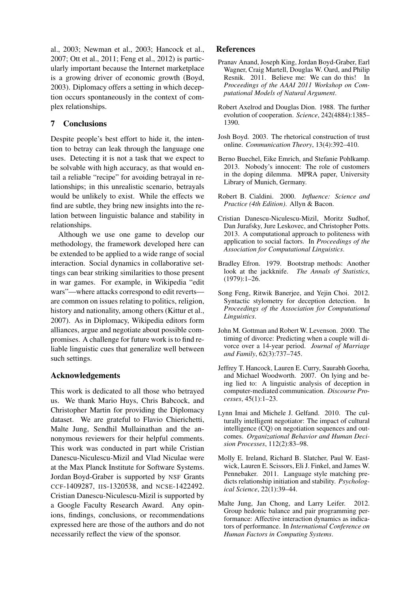al., 2003; Newman et al., 2003; Hancock et al., 2007; Ott et al., 2011; Feng et al., 2012) is particularly important because the Internet marketplace is a growing driver of economic growth (Boyd, 2003). Diplomacy offers a setting in which deception occurs spontaneously in the context of complex relationships.

# 7 Conclusions

Despite people's best effort to hide it, the intention to betray can leak through the language one uses. Detecting it is not a task that we expect to be solvable with high accuracy, as that would entail a reliable "recipe" for avoiding betrayal in relationships; in this unrealistic scenario, betrayals would be unlikely to exist. While the effects we find are subtle, they bring new insights into the relation between linguistic balance and stability in relationships.

Although we use one game to develop our methodology, the framework developed here can be extended to be applied to a wide range of social interaction. Social dynamics in collaborative settings can bear striking similarities to those present in war games. For example, in Wikipedia "edit wars"—where attacks correspond to edit reverts are common on issues relating to politics, religion, history and nationality, among others (Kittur et al., 2007). As in Diplomacy, Wikipedia editors form alliances, argue and negotiate about possible compromises. A challenge for future work is to find reliable linguistic cues that generalize well between such settings.

# Acknowledgements

This work is dedicated to all those who betrayed us. We thank Mario Huys, Chris Babcock, and Christopher Martin for providing the Diplomacy dataset. We are grateful to Flavio Chierichetti, Malte Jung, Sendhil Mullainathan and the annonymous reviewers for their helpful comments. This work was conducted in part while Cristian Danescu-Niculescu-Mizil and Vlad Niculae were at the Max Planck Institute for Software Systems. Jordan Boyd-Graber is supported by NSF Grants CCF-1409287, IIS-1320538, and NCSE-1422492. Cristian Danescu-Niculescu-Mizil is supported by a Google Faculty Research Award. Any opinions, findings, conclusions, or recommendations expressed here are those of the authors and do not necessarily reflect the view of the sponsor.

#### References

- Pranav Anand, Joseph King, Jordan Boyd-Graber, Earl Wagner, Craig Martell, Douglas W. Oard, and Philip Resnik. 2011. Believe me: We can do this! In *Proceedings of the AAAI 2011 Workshop on Computational Models of Natural Argument*.
- Robert Axelrod and Douglas Dion. 1988. The further evolution of cooperation. *Science*, 242(4884):1385– 1390.
- Josh Boyd. 2003. The rhetorical construction of trust online. *Communication Theory*, 13(4):392–410.
- Berno Buechel, Eike Emrich, and Stefanie Pohlkamp. 2013. Nobody's innocent: The role of customers in the doping dilemma. MPRA paper, University Library of Munich, Germany.
- Robert B. Cialdini. 2000. *Influence: Science and Practice (4th Edition)*. Allyn & Bacon.
- Cristian Danescu-Niculescu-Mizil, Moritz Sudhof, Dan Jurafsky, Jure Leskovec, and Christopher Potts. 2013. A computational approach to politeness with application to social factors. In *Proceedings of the Association for Computational Linguistics*.
- Bradley Efron. 1979. Bootstrap methods: Another look at the jackknife. *The Annals of Statistics*, (1979):1–26.
- Song Feng, Ritwik Banerjee, and Yejin Choi. 2012. Syntactic stylometry for deception detection. In *Proceedings of the Association for Computational Linguistics*.
- John M. Gottman and Robert W. Levenson. 2000. The timing of divorce: Predicting when a couple will divorce over a 14-year period. *Journal of Marriage and Family*, 62(3):737–745.
- Jeffrey T. Hancock, Lauren E. Curry, Saurabh Goorha, and Michael Woodworth. 2007. On lying and being lied to: A linguistic analysis of deception in computer-mediated communication. *Discourse Processes*, 45(1):1–23.
- Lynn Imai and Michele J. Gelfand. 2010. The culturally intelligent negotiator: The impact of cultural intelligence (CQ) on negotiation sequences and outcomes. *Organizational Behavior and Human Decision Processes*, 112(2):83–98.
- Molly E. Ireland, Richard B. Slatcher, Paul W. Eastwick, Lauren E. Scissors, Eli J. Finkel, and James W. Pennebaker. 2011. Language style matching predicts relationship initiation and stability. *Psychological Science*, 22(1):39–44.
- Malte Jung, Jan Chong, and Larry Leifer. 2012. Group hedonic balance and pair programming performance: Affective interaction dynamics as indicators of performance. In *International Conference on Human Factors in Computing Systems*.